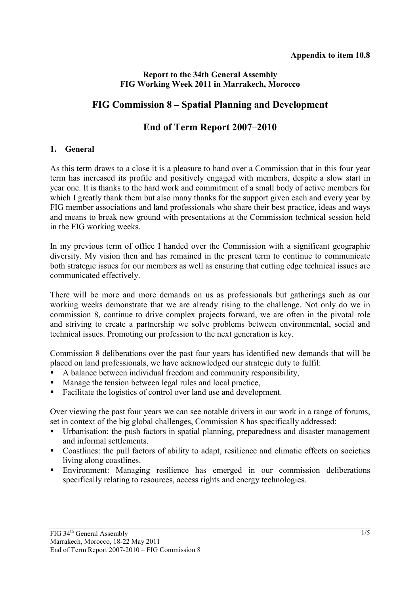## **Report to the 34th General Assembly FIG Working Week 2011 in Marrakech, Morocco**

# **FIG Commission 8 – Spatial Planning and Development**

# **End of Term Report 2007–2010**

#### **1. General**

As this term draws to a close it is a pleasure to hand over a Commission that in this four year term has increased its profile and positively engaged with members, despite a slow start in year one. It is thanks to the hard work and commitment of a small body of active members for which I greatly thank them but also many thanks for the support given each and every year by FIG member associations and land professionals who share their best practice, ideas and ways and means to break new ground with presentations at the Commission technical session held in the FIG working weeks.

In my previous term of office I handed over the Commission with a significant geographic diversity. My vision then and has remained in the present term to continue to communicate both strategic issues for our members as well as ensuring that cutting edge technical issues are communicated effectively.

There will be more and more demands on us as professionals but gatherings such as our working weeks demonstrate that we are already rising to the challenge. Not only do we in commission 8, continue to drive complex projects forward, we are often in the pivotal role and striving to create a partnership we solve problems between environmental, social and technical issues. Promoting our profession to the next generation is key.

Commission 8 deliberations over the past four years has identified new demands that will be placed on land professionals, we have acknowledged our strategic duty to fulfil:

- A balance between individual freedom and community responsibility,
- Manage the tension between legal rules and local practice,
- Facilitate the logistics of control over land use and development.

Over viewing the past four years we can see notable drivers in our work in a range of forums, set in context of the big global challenges, Commission 8 has specifically addressed:

- Urbanisation: the push factors in spatial planning, preparedness and disaster management and informal settlements.
- Coastlines: the pull factors of ability to adapt, resilience and climatic effects on societies living along coastlines.
- Environment: Managing resilience has emerged in our commission deliberations specifically relating to resources, access rights and energy technologies.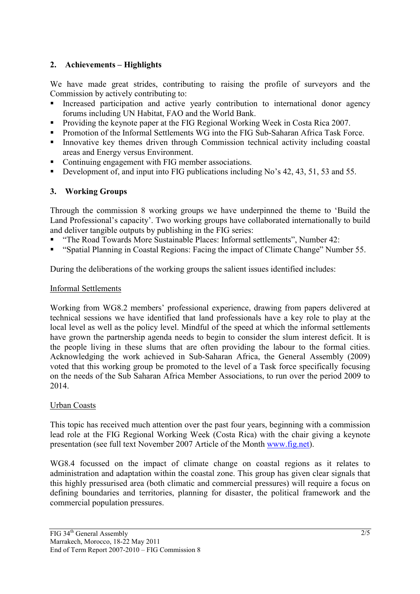# **2. Achievements – Highlights**

We have made great strides, contributing to raising the profile of surveyors and the Commission by actively contributing to:

- Increased participation and active yearly contribution to international donor agency forums including UN Habitat, FAO and the World Bank.
- Providing the keynote paper at the FIG Regional Working Week in Costa Rica 2007.
- Promotion of the Informal Settlements WG into the FIG Sub-Saharan Africa Task Force.
- Innovative key themes driven through Commission technical activity including coastal areas and Energy versus Environment.
- Continuing engagement with FIG member associations.
- Development of, and input into FIG publications including No's 42, 43, 51, 53 and 55.

## **3. Working Groups**

Through the commission 8 working groups we have underpinned the theme to 'Build the Land Professional's capacity'. Two working groups have collaborated internationally to build and deliver tangible outputs by publishing in the FIG series:

- "The Road Towards More Sustainable Places: Informal settlements", Number 42:
- "Spatial Planning in Coastal Regions: Facing the impact of Climate Change" Number 55.

During the deliberations of the working groups the salient issues identified includes:

## Informal Settlements

Working from WG8.2 members' professional experience, drawing from papers delivered at technical sessions we have identified that land professionals have a key role to play at the local level as well as the policy level. Mindful of the speed at which the informal settlements have grown the partnership agenda needs to begin to consider the slum interest deficit. It is the people living in these slums that are often providing the labour to the formal cities. Acknowledging the work achieved in Sub-Saharan Africa, the General Assembly (2009) voted that this working group be promoted to the level of a Task force specifically focusing on the needs of the Sub Saharan Africa Member Associations, to run over the period 2009 to 2014.

#### Urban Coasts

This topic has received much attention over the past four years, beginning with a commission lead role at the FIG Regional Working Week (Costa Rica) with the chair giving a keynote presentation (see full text November 2007 Article of the Month www.fig.net).

WG8.4 focussed on the impact of climate change on coastal regions as it relates to administration and adaptation within the coastal zone. This group has given clear signals that this highly pressurised area (both climatic and commercial pressures) will require a focus on defining boundaries and territories, planning for disaster, the political framework and the commercial population pressures.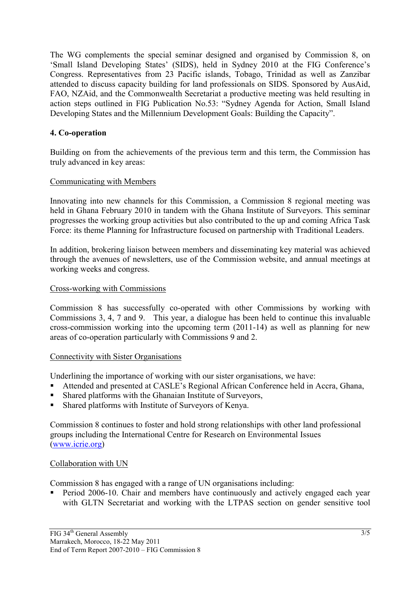The WG complements the special seminar designed and organised by Commission 8, on 'Small Island Developing States' (SIDS), held in Sydney 2010 at the FIG Conference's Congress. Representatives from 23 Pacific islands, Tobago, Trinidad as well as Zanzibar attended to discuss capacity building for land professionals on SIDS. Sponsored by AusAid, FAO, NZAid, and the Commonwealth Secretariat a productive meeting was held resulting in action steps outlined in FIG Publication No.53: "Sydney Agenda for Action, Small Island Developing States and the Millennium Development Goals: Building the Capacity".

## **4. Co-operation**

Building on from the achievements of the previous term and this term, the Commission has truly advanced in key areas:

#### Communicating with Members

Innovating into new channels for this Commission, a Commission 8 regional meeting was held in Ghana February 2010 in tandem with the Ghana Institute of Surveyors. This seminar progresses the working group activities but also contributed to the up and coming Africa Task Force: its theme Planning for Infrastructure focused on partnership with Traditional Leaders.

In addition, brokering liaison between members and disseminating key material was achieved through the avenues of newsletters, use of the Commission website, and annual meetings at working weeks and congress.

#### Cross-working with Commissions

Commission 8 has successfully co-operated with other Commissions by working with Commissions 3, 4, 7 and 9. This year, a dialogue has been held to continue this invaluable cross-commission working into the upcoming term (2011-14) as well as planning for new areas of co-operation particularly with Commissions 9 and 2.

#### Connectivity with Sister Organisations

Underlining the importance of working with our sister organisations, we have:

- Attended and presented at CASLE's Regional African Conference held in Accra, Ghana,
- Shared platforms with the Ghanaian Institute of Surveyors,
- Shared platforms with Institute of Surveyors of Kenya.

Commission 8 continues to foster and hold strong relationships with other land professional groups including the International Centre for Research on Environmental Issues (www.icrie.org)

#### Collaboration with UN

Commission 8 has engaged with a range of UN organisations including:

**Period 2006-10.** Chair and members have continuously and actively engaged each year with GLTN Secretariat and working with the LTPAS section on gender sensitive tool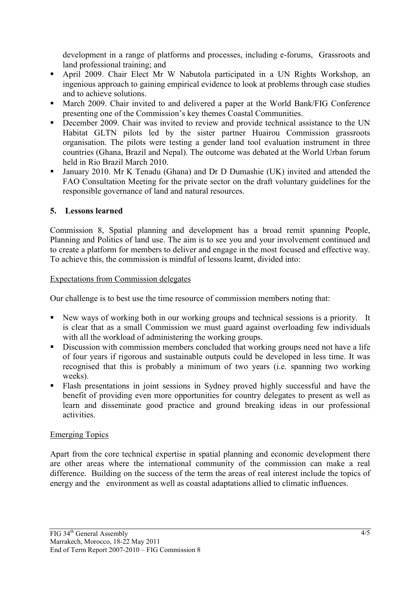development in a range of platforms and processes, including e-forums, Grassroots and land professional training; and

- April 2009. Chair Elect Mr W Nabutola participated in a UN Rights Workshop, an ingenious approach to gaining empirical evidence to look at problems through case studies and to achieve solutions.
- March 2009. Chair invited to and delivered a paper at the World Bank/FIG Conference presenting one of the Commission's key themes Coastal Communities.
- December 2009. Chair was invited to review and provide technical assistance to the UN Habitat GLTN pilots led by the sister partner Huairou Commission grassroots organisation. The pilots were testing a gender land tool evaluation instrument in three countries (Ghana, Brazil and Nepal). The outcome was debated at the World Urban forum held in Rio Brazil March 2010.
- January 2010. Mr K Tenadu (Ghana) and Dr D Dumashie (UK) invited and attended the FAO Consultation Meeting for the private sector on the draft voluntary guidelines for the responsible governance of land and natural resources.

## **5. Lessons learned**

Commission 8, Spatial planning and development has a broad remit spanning People, Planning and Politics of land use. The aim is to see you and your involvement continued and to create a platform for members to deliver and engage in the most focused and effective way. To achieve this, the commission is mindful of lessons learnt, divided into:

## Expectations from Commission delegates

Our challenge is to best use the time resource of commission members noting that:

- New ways of working both in our working groups and technical sessions is a priority. It is clear that as a small Commission we must guard against overloading few individuals with all the workload of administering the working groups.
- Discussion with commission members concluded that working groups need not have a life of four years if rigorous and sustainable outputs could be developed in less time. It was recognised that this is probably a minimum of two years (i.e. spanning two working weeks).
- Flash presentations in joint sessions in Sydney proved highly successful and have the benefit of providing even more opportunities for country delegates to present as well as learn and disseminate good practice and ground breaking ideas in our professional activities.

#### Emerging Topics

Apart from the core technical expertise in spatial planning and economic development there are other areas where the international community of the commission can make a real difference. Building on the success of the term the areas of real interest include the topics of energy and the environment as well as coastal adaptations allied to climatic influences.